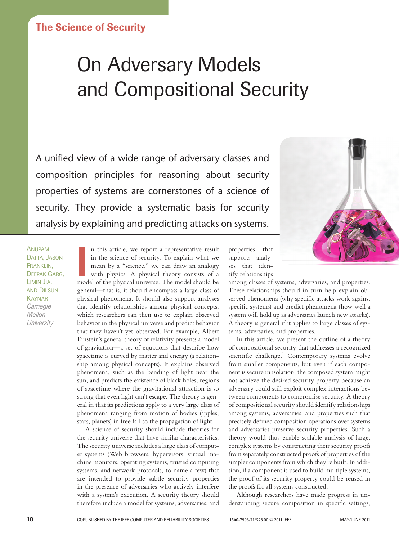# On Adversary Models and Compositional Security

A unified view of a wide range of adversary classes and composition principles for reasoning about security properties of systems are cornerstones of a science of security. They provide a systematic basis for security analysis by explaining and predicting attacks on systems.



**ANUPAM** DATTA, JASON Franklin, Deepak Garg, Limin Jia, and Dilsun **KAYNAR** *Carnegie Mellon University*

If this affice, we report a representative result<br>in the science of security. To explain what we<br>mean by a "science," we can draw an analogy<br>with physics. A physical theory consists of a<br>model of the physical universe. The n this article, we report a representative result in the science of security. To explain what we mean by a "science," we can draw an analogy with physics. A physical theory consists of a general—that is, it should encompass a large class of physical phenomena. It should also support analyses that identify relationships among physical concepts, which researchers can then use to explain observed behavior in the physical universe and predict behavior that they haven't yet observed. For example, Albert Einstein's general theory of relativity presents a model of gravitation—a set of equations that describe how spacetime is curved by matter and energy (a relationship among physical concepts). It explains observed phenomena, such as the bending of light near the sun, and predicts the existence of black holes, regions of spacetime where the gravitational attraction is so strong that even light can't escape. The theory is general in that its predictions apply to a very large class of phenomena ranging from motion of bodies (apples, stars, planets) in free fall to the propagation of light.

A science of security should include theories for the security universe that have similar characteristics. The security universe includes a large class of computer systems (Web browsers, hypervisors, virtual machine monitors, operating systems, trusted computing systems, and network protocols, to name a few) that are intended to provide subtle security properties in the presence of adversaries who actively interfere with a system's execution. A security theory should therefore include a model for systems, adversaries, and properties that supports analyses that identify relationships

among classes of systems, adversaries, and properties. These relationships should in turn help explain observed phenomena (why specific attacks work against specific systems) and predict phenomena (how well a system will hold up as adversaries launch new attacks). A theory is general if it applies to large classes of systems, adversaries, and properties.

In this article, we present the outline of a theory of compositional security that addresses a recognized scientific challenge.<sup>1</sup> Contemporary systems evolve from smaller components, but even if each component is secure in isolation, the composed system might not achieve the desired security property because an adversary could still exploit complex interactions between components to compromise security. A theory of compositional security should identify relationships among systems, adversaries, and properties such that precisely defined composition operations over systems and adversaries preserve security properties. Such a theory would thus enable scalable analysis of large, complex systems by constructing their security proofs from separately constructed proofs of properties of the simpler components from which they're built. In addition, if a component is used to build multiple systems, the proof of its security property could be reused in the proofs for all systems constructed.

Although researchers have made progress in understanding secure composition in specific settings,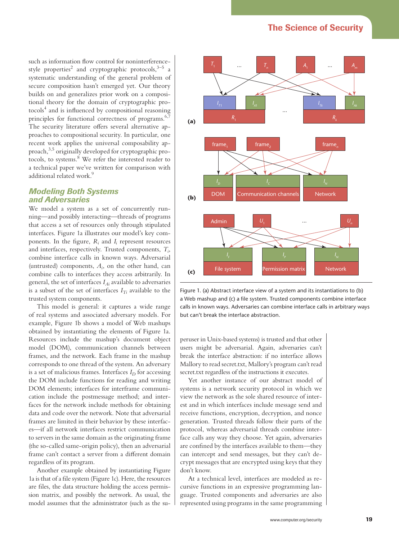### The Science of Security

such as information flow control for noninterferencestyle properties<sup>2</sup> and cryptographic protocols,  $3-5$  a systematic understanding of the general problem of secure composition hasn't emerged yet. Our theory builds on and generalizes prior work on a compositional theory for the domain of cryptographic protocols<sup>4</sup> and is influenced by compositional reasoning principles for functional correctness of programs. $6,7$ The security literature offers several alternative approaches to compositional security. In particular, one recent work applies the universal composability approach,3,5 originally developed for cryptographic protocols, to systems.<sup>8</sup> We refer the interested reader to a technical paper we've written for comparison with additional related work.<sup>9</sup>

### *Modeling Both Systems and Adversaries*

We model a system as a set of concurrently running—and possibly interacting—threads of programs that access a set of resources only through stipulated interfaces. Figure 1a illustrates our model's key components. In the figure,  $R_i$  and  $I_i$  represent resources and interfaces, respectively. Trusted components, *Ti* , combine interface calls in known ways. Adversarial (untrusted) components, *Ai* , on the other hand, can combine calls to interfaces they access arbitrarily. In general, the set of interfaces *IAi* available to adversaries is a subset of the set of interfaces  $I_{Ti}$  available to the trusted system components.

This model is general: it captures a wide range of real systems and associated adversary models. For example, Figure 1b shows a model of Web mashups obtained by instantiating the elements of Figure 1a. Resources include the mashup's document object model (DOM), communication channels between frames, and the network. Each frame in the mashup corresponds to one thread of the system. An adversary is a set of malicious frames. Interfaces  $I_D$  for accessing the DOM include functions for reading and writing DOM elements; interfaces for interframe communication include the postmessage method; and interfaces for the network include methods for obtaining data and code over the network. Note that adversarial frames are limited in their behavior by these interfaces—if all network interfaces restrict communication to servers in the same domain as the originating frame (the so-called same-origin policy), then an adversarial frame can't contact a server from a different domain regardless of its program.

Another example obtained by instantiating Figure 1a is that of a file system (Figure 1c). Here, the resources are files, the data structure holding the access permission matrix, and possibly the network. As usual, the model assumes that the administrator (such as the su-



Figure 1. (a) Abstract interface view of a system and its instantiations to (b) a Web mashup and (c) a file system. Trusted components combine interface calls in known ways. Adversaries can combine interface calls in arbitrary ways but can't break the interface abstraction.

peruser in Unix-based systems) is trusted and that other users might be adversarial. Again, adversaries can't break the interface abstraction: if no interface allows Mallory to read secret.txt, Mallory's program can't read secret.txt regardless of the instructions it executes.

Yet another instance of our abstract model of systems is a network security protocol in which we view the network as the sole shared resource of interest and in which interfaces include message send and receive functions, encryption, decryption, and nonce generation. Trusted threads follow their parts of the protocol, whereas adversarial threads combine interface calls any way they choose. Yet again, adversaries are confined by the interfaces available to them—they can intercept and send messages, but they can't decrypt messages that are encrypted using keys that they don't know.

At a technical level, interfaces are modeled as recursive functions in an expressive programming language. Trusted components and adversaries are also represented using programs in the same programming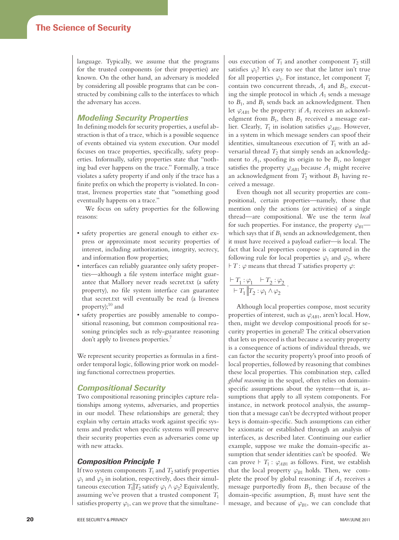language. Typically, we assume that the programs for the trusted components (or their properties) are known. On the other hand, an adversary is modeled by considering all possible programs that can be constructed by combining calls to the interfaces to which the adversary has access.

### *Modeling Security Properties*

In defining models for security properties, a useful abstraction is that of a trace, which is a possible sequence of events obtained via system execution. Our model focuses on trace properties, specifically, safety properties. Informally, safety properties state that "nothing bad ever happens on the trace." Formally, a trace violates a safety property if and only if the trace has a finite prefix on which the property is violated. In contrast, liveness properties state that "something good eventually happens on a trace."

We focus on safety properties for the following reasons:

- • safety properties are general enough to either express or approximate most security properties of interest, including authorization, integrity, secrecy, and information flow properties;
- interfaces can reliably guarantee only safety properties—although a file system interface might guarantee that Mallory never reads secret.txt (a safety property), no file system interface can guarantee that secret.txt will eventually be read (a liveness property); $^{10}$  and
- • safety properties are possibly amenable to compositional reasoning, but common compositional reasoning principles such as rely-guarantee reasoning don't apply to liveness properties.<sup>7</sup>

We represent security properties as formulas in a firstorder temporal logic, following prior work on modeling functional correctness properties.

### *Compositional Security*

Two compositional reasoning principles capture relationships among systems, adversaries, and properties in our model. These relationships are general; they explain why certain attacks work against specific systems and predict when specific systems will preserve their security properties even as adversaries come up with new attacks.

### *Composition Principle 1*

If two system components  $T_1$  and  $T_2$  satisfy properties  $\varphi$ <sub>1</sub> and  $\varphi$ <sub>2</sub> in isolation, respectively, does their simultaneous execution  $T_1/T_2$  satisfy  $\varphi_1 \wedge \varphi_2$ ? Equivalently, assuming we've proven that a trusted component  $T_1$ satisfies property  $\varphi_1$ , can we prove that the simultaneous execution of  $T_1$  and another component  $T_2$  still satisfies  $\varphi_1$ ? It's easy to see that the latter isn't true for all properties  $\varphi_1$ . For instance, let component  $T_1$ contain two concurrent threads,  $A_1$  and  $B_1$ , executing the simple protocol in which  $A_1$  sends a message to  $B_1$ , and  $B_1$  sends back an acknowledgment. Then let  $\varphi_{AB1}$  be the property: if  $A_1$  receives an acknowledgment from  $B_1$ , then  $B_1$  received a message earlier. Clearly,  $T_1$  in isolation satisfies  $\varphi_{AB1}$ . However, in a system in which message senders can spoof their identities, simultaneous execution of  $T_1$  with an adversarial thread  $T_2$  that simply sends an acknowledgment to  $A_1$ , spoofing its origin to be  $B_1$ , no longer satisfies the property  $\varphi_{AB1}$  because  $A_1$  might receive an acknowledgment from  $T_2$  without  $B_1$  having received a message.

Even though not all security properties are compositional, certain properties—namely, those that mention only the actions (or activities) of a single thread—are compositional. We use the term *local* for such properties. For instance, the property  $\varphi_{B1}$  which says that if  $B_1$  sends an acknowledgement, then it must have received a payload earlier—is local. The fact that local properties compose is captured in the following rule for local properties  $\varphi_1$  and  $\varphi_2$ , where  $\vdash T$  :  $\varphi$  means that thread *T* satisfies property  $\varphi$ :

$$
\frac{\vdash T_1:\varphi_1 \quad \vdash T_2:\varphi_2}{\vdash T_1 \| T_2:\varphi_1 \land \varphi_2}.
$$

Although local properties compose, most security properties of interest, such as  $\varphi_{AB1}$ , aren't local. How, then, might we develop compositional proofs for security properties in general? The critical observation that lets us proceed is that because a security property is a consequence of actions of individual threads, we can factor the security property's proof into proofs of local properties, followed by reasoning that combines these local properties. This combination step, called *global reasoning* in the sequel, often relies on domainspecific assumptions about the system—that is, assumptions that apply to all system components. For instance, in network protocol analysis, the assumption that a message can't be decrypted without proper keys is domain-specific. Such assumptions can either be axiomatic or established through an analysis of interfaces, as described later. Continuing our earlier example, suppose we make the domain-specific assumption that sender identities can't be spoofed. We can prove  $⊢ T_1$ :  $\varphi_{AB1}$  as follows. First, we establish that the local property  $\varphi_{B1}$  holds. Then, we complete the proof by global reasoning: if  $A_1$  receives a message purportedly from  $B_1$ , then because of the domain-specific assumption, *B*1 must have sent the message, and because of  $\varphi_{B1}$ , we can conclude that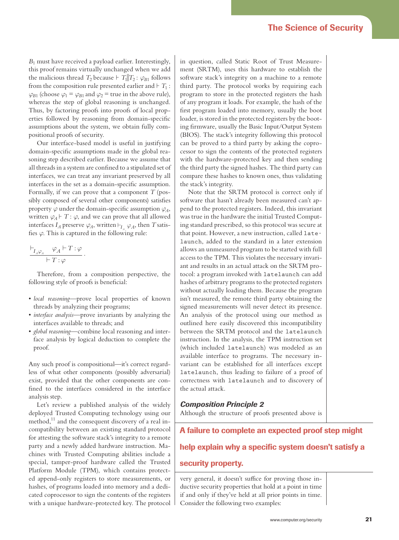*B*1 must have received a payload earlier. Interestingly, this proof remains virtually unchanged when we add the malicious thread *T*<sub>2</sub> because  $\vdash T_1 \| T_2 : \varphi_{B1}$  follows from the composition rule presented earlier and  $\vdash T_1$  :  $\varphi_{B1}$  (choose  $\varphi_1 = \varphi_{B1}$  and  $\varphi_2$  = true in the above rule), whereas the step of global reasoning is unchanged. Thus, by factoring proofs into proofs of local properties followed by reasoning from domain-specific assumptions about the system, we obtain fully compositional proofs of security.

Our interface-based model is useful in justifying domain-specific assumptions made in the global reasoning step described earlier. Because we assume that all threads in a system are confined to a stipulated set of interfaces, we can treat any invariant preserved by all interfaces in the set as a domain-specific assumption. Formally, if we can prove that a component *T* (possibly composed of several other components) satisfies property  $\varphi$  under the domain-specific assumption  $\varphi$ <sub>*A*</sub>, written  $\varphi_A \vdash T : \varphi$ , and we can prove that all allowed interfaces  $I_A$  preserve  $\varphi_A$ , written  $\vdash_{I_A} \varphi_A$ , then  $T$  satisfies  $\varphi$ . This is captured in the following rule:

$$
\frac{\vdash_{I_{\boldsymbol{A}}\varphi_{\boldsymbol{A}}} \quad \varphi_{\boldsymbol{A}}\vdash T:\varphi}{\vdash T:\varphi}.
$$

Therefore, from a composition perspective, the following style of proofs is beneficial:

- *local reasoning*—prove local properties of known threads by analyzing their programs;
- • *interface analysis*—prove invariants by analyzing the interfaces available to threads; and
- *global reasoning*—combine local reasoning and interface analysis by logical deduction to complete the proof.

Any such proof is compositional—it's correct regardless of what other components (possibly adversarial) exist, provided that the other components are confined to the interfaces considered in the interface analysis step.

Let's review a published analysis of the widely deployed Trusted Computing technology using our method, $^{11}$  and the consequent discovery of a real incompatibility between an existing standard protocol for attesting the software stack's integrity to a remote party and a newly added hardware instruction. Machines with Trusted Computing abilities include a special, tamper-proof hardware called the Trusted Platform Module (TPM), which contains protected append-only registers to store measurements, or hashes, of programs loaded into memory and a dedicated coprocessor to sign the contents of the registers with a unique hardware-protected key. The protocol

in question, called Static Root of Trust Measurement (SRTM), uses this hardware to establish the software stack's integrity on a machine to a remote third party. The protocol works by requiring each program to store in the protected registers the hash of any program it loads. For example, the hash of the first program loaded into memory, usually the boot loader, is stored in the protected registers by the booting firmware, usually the Basic Input/Output System (BIOS). The stack's integrity following this protocol can be proved to a third party by asking the coprocessor to sign the contents of the protected registers with the hardware-protected key and then sending the third party the signed hashes. The third party can compare these hashes to known ones, thus validating the stack's integrity.

Note that the SRTM protocol is correct only if software that hasn't already been measured can't append to the protected registers. Indeed, this invariant was true in the hardware the initial Trusted Computing standard prescribed, so this protocol was secure at that point. However, a new instruction, called latelaunch, added to the standard in a later extension allows an unmeasured program to be started with full access to the TPM. This violates the necessary invariant and results in an actual attack on the SRTM protocol: a program invoked with latelaunch can add hashes of arbitrary programs to the protected registers without actually loading them. Because the program isn't measured, the remote third party obtaining the signed measurements will never detect its presence. An analysis of the protocol using our method as outlined here easily discovered this incompatibility between the SRTM protocol and the latelaunch instruction. In the analysis, the TPM instruction set (which included latelaunch) was modeled as an available interface to programs. The necessary invariant can be established for all interfaces except latelaunch, thus leading to failure of a proof of correctness with latelaunch and to discovery of the actual attack.

### *Composition Principle 2*

Although the structure of proofs presented above is

## A failure to complete an expected proof step might

### help explain why a specific system doesn't satisfy a

### security property.

very general, it doesn't suffice for proving those inductive security properties that hold at a point in time if and only if they've held at all prior points in time. Consider the following two examples: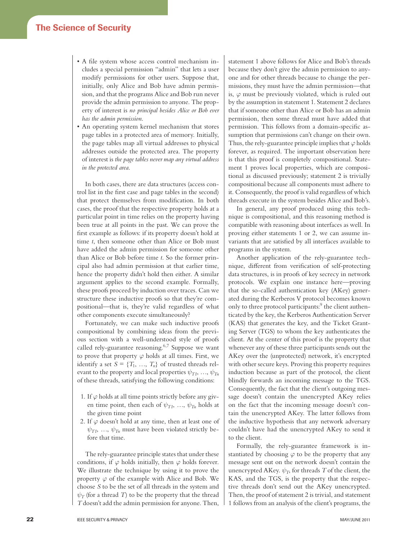- • A file system whose access control mechanism includes a special permission "admin" that lets a user modify permissions for other users. Suppose that, initially, only Alice and Bob have admin permission, and that the programs Alice and Bob run never provide the admin permission to anyone. The property of interest is *no principal besides Alice or Bob ever has the admin permission*.
- • An operating system kernel mechanism that stores page tables in a protected area of memory. Initially, the page tables map all virtual addresses to physical addresses outside the protected area. The property of interest is *the page tables never map any virtual address in the protected area*.

In both cases, there are data structures (access control list in the first case and page tables in the second) that protect themselves from modification. In both cases, the proof that the respective property holds at a particular point in time relies on the property having been true at all points in the past. We can prove the first example as follows: if its property doesn't hold at time *t*, then someone other than Alice or Bob must have added the admin permission for someone other than Alice or Bob before time *t*. So the former principal also had admin permission at that earlier time, hence the property didn't hold then either. A similar argument applies to the second example. Formally, these proofs proceed by induction over traces. Can we structure these inductive proofs so that they're compositional—that is, they're valid regardless of what other components execute simultaneously?

Fortunately, we can make such inductive proofs compositional by combining ideas from the previous section with a well-understood style of proofs called rely-guarantee reasoning.<sup>6,7</sup> Suppose we want to prove that property  $\varphi$  holds at all times. First, we identify a set  $S = \{T_1, ..., T_n\}$  of trusted threads relevant to the property and local properties  $\psi_{T1}, \ldots, \psi_{Tn}$ of these threads, satisfying the following conditions:

- 1. If  $\varphi$  holds at all time points strictly before any given time point, then each of  $\psi_{T1}$ , ...,  $\psi_{Tn}$  holds at the given time point
- 2. If  $\varphi$  doesn't hold at any time, then at least one of  $\psi_{T1}$ , …,  $\psi_{Tn}$  must have been violated strictly before that time.

The rely-guarantee principle states that under these conditions, if  $\varphi$  holds initially, then  $\varphi$  holds forever. We illustrate the technique by using it to prove the property  $\varphi$  of the example with Alice and Bob. We choose *S* to be the set of all threads in the system and  $\psi_T$  (for a thread *T*) to be the property that the thread *T* doesn't add the admin permission for anyone. Then,

statement 1 above follows for Alice and Bob's threads because they don't give the admin permission to anyone and for other threads because to change the permissions, they must have the admin permission—that is,  $\varphi$  must be previously violated, which is ruled out by the assumption in statement 1. Statement 2 declares that if someone other than Alice or Bob has an admin permission, then some thread must have added that permission. This follows from a domain-specific assumption that permissions can't change on their own. Thus, the rely-guarantee principle implies that  $\varphi$  holds forever, as required. The important observation here is that this proof is completely compositional. Statement 1 proves local properties, which are compositional as discussed previously; statement 2 is trivially compositional because all components must adhere to it. Consequently, the proof is valid regardless of which threads execute in the system besides Alice and Bob's.

In general, any proof produced using this technique is compositional, and this reasoning method is compatible with reasoning about interfaces as well. In proving either statements 1 or 2, we can assume invariants that are satisfied by all interfaces available to programs in the system.

Another application of the rely-guarantee technique, different from verification of self-protecting data structures, is in proofs of key secrecy in network protocols. We explain one instance here—proving that the so-called authentication key (AKey) generated during the Kerberos V protocol becomes known only to three protocol participants:<sup>9</sup> the client authenticated by the key, the Kerberos Authentication Server (KAS) that generates the key, and the Ticket Granting Server (TGS) to whom the key authenticates the client. At the center of this proof is the property that whenever any of these three participants sends out the AKey over the (unprotected) network, it's encrypted with other secure keys. Proving this property requires induction because as part of the protocol, the client blindly forwards an incoming message to the TGS. Consequently, the fact that the client's outgoing message doesn't contain the unencrypted AKey relies on the fact that the incoming message doesn't contain the unencrypted AKey. The latter follows from the inductive hypothesis that any network adversary couldn't have had the unencrypted AKey to send it to the client.

Formally, the rely-guarantee framework is instantiated by choosing  $\varphi$  to be the property that any message sent out on the network doesn't contain the unencrypted AKey.  $\psi_T$ , for threads *T* of the client, the KAS, and the TGS, is the property that the respective threads don't send out the AKey unencrypted. Then, the proof of statement 2 is trivial, and statement 1 follows from an analysis of the client's programs, the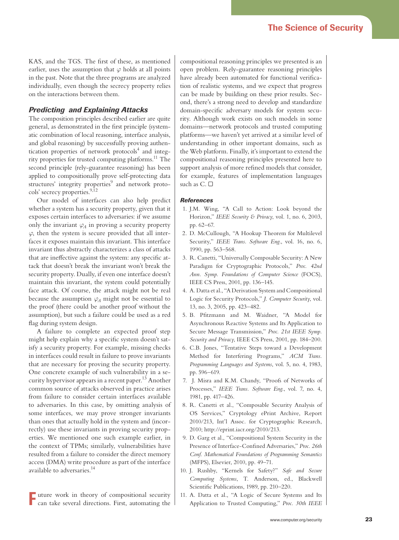KAS, and the TGS. The first of these, as mentioned earlier, uses the assumption that  $\varphi$  holds at all points in the past. Note that the three programs are analyzed individually, even though the secrecy property relies on the interactions between them.

### *Predicting and Explaining Attacks*

The composition principles described earlier are quite general, as demonstrated in the first principle (systematic combination of local reasoning, interface analysis, and global reasoning) by successfully proving authentication properties of network protocols<sup>4</sup> and integrity properties for trusted computing platforms.<sup>11</sup> The second principle (rely-guarantee reasoning) has been applied to compositionally prove self-protecting data structures' integrity properties<sup>9</sup> and network protocols' secrecy properties.<sup>9,12</sup>

Our model of interfaces can also help predict whether a system has a security property, given that it exposes certain interfaces to adversaries: if we assume only the invariant  $\varphi_A$  in proving a security property  $\varphi$ , then the system is secure provided that all interfaces it exposes maintain this invariant. This interface invariant thus abstractly characterizes a class of attacks that are ineffective against the system: any specific attack that doesn't break the invariant won't break the security property. Dually, if even one interface doesn't maintain this invariant, the system could potentially face attack. Of course, the attack might not be real because the assumption  $\varphi_A$  might not be essential to the proof (there could be another proof without the assumption), but such a failure could be used as a red flag during system design.

A failure to complete an expected proof step might help explain why a specific system doesn't satisfy a security property. For example, missing checks in interfaces could result in failure to prove invariants that are necessary for proving the security property. One concrete example of such vulnerability in a security hypervisor appears in a recent paper.<sup>13</sup> Another common source of attacks observed in practice arises from failure to consider certain interfaces available to adversaries. In this case, by omitting analysis of some interfaces, we may prove stronger invariants than ones that actually hold in the system and (incorrectly) use these invariants in proving security properties. We mentioned one such example earlier, in the context of TPMs; similarly, vulnerabilities have resulted from a failure to consider the direct memory access (DMA) write procedure as part of the interface available to adversaries.14

Future work in theory of compositional security can take several directions. First, automating the

compositional reasoning principles we presented is an open problem. Rely-guarantee reasoning principles have already been automated for functional verification of realistic systems, and we expect that progress can be made by building on these prior results. Second, there's a strong need to develop and standardize domain-specific adversary models for system security. Although work exists on such models in some domains—network protocols and trusted computing platforms—we haven't yet arrived at a similar level of understanding in other important domains, such as the Web platform. Finally, it's important to extend the compositional reasoning principles presented here to support analysis of more refined models that consider, for example, features of implementation languages such as  $C. \Box$ 

#### *References*

- 1. J.M. Wing, "A Call to Action: Look beyond the Horizon," *IEEE Security & Privacy*, vol. 1, no. 6, 2003, pp. 62–67.
- 2. D. McCullough, "A Hookup Theorem for Multilevel Security," *IEEE Trans. Software Eng*., vol. 16, no. 6, 1990, pp. 563–568.
- 3. R. Canetti, "Universally Composable Security: A New Paradigm for Cryptographic Protocols," *Proc. 42nd Ann. Symp. Foundations of Computer Science* (FOCS), IEEE CS Press, 2001, pp. 136–145.
- 4. A. Datta et al., "A Derivation System and Compositional Logic for Security Protocols," *J. Computer Security*, vol. 13, no. 3, 2005, pp. 423–482.
- 5. B. Pfitzmann and M. Waidner, "A Model for Asynchronous Reactive Systems and Its Application to Secure Message Transmission," *Proc. 21st IEEE Symp. Security and Privacy*, IEEE CS Press, 2001, pp. 184–200.
- 6. C.B. Jones, "Tentative Steps toward a Development Method for Interfering Programs," *ACM Trans. Programming Languages and Systems*, vol. 5, no. 4, 1983, pp. 596–619.
- 7. J. Misra and K.M. Chandy, "Proofs of Networks of Processes," *IEEE Trans. Software Eng*., vol. 7, no. 4, 1981, pp. 417–426.
- 8. R. Canetti et al., "Composable Security Analysis of OS Services," Cryptology ePrint Archive, Report 2010/213, Int'l Assoc. for Cryptographic Research, 2010; http://eprint.iacr.org/2010/213.
- 9. D. Garg et al., "Compositional System Security in the Presence of Interface-Confined Adversaries," *Proc. 26th Conf. Mathematical Foundations of Programming Semantics* (MFPS), Elsevier, 2010, pp. 49–71.
- 10. J. Rushby, "Kernels for Safety?" *Safe and Secure Computing Systems*, T. Anderson, ed., Blackwell Scientific Publications, 1989, pp. 210–220.
- 11. A. Datta et al., "A Logic of Secure Systems and Its Application to Trusted Computing," *Proc. 30th IEEE*